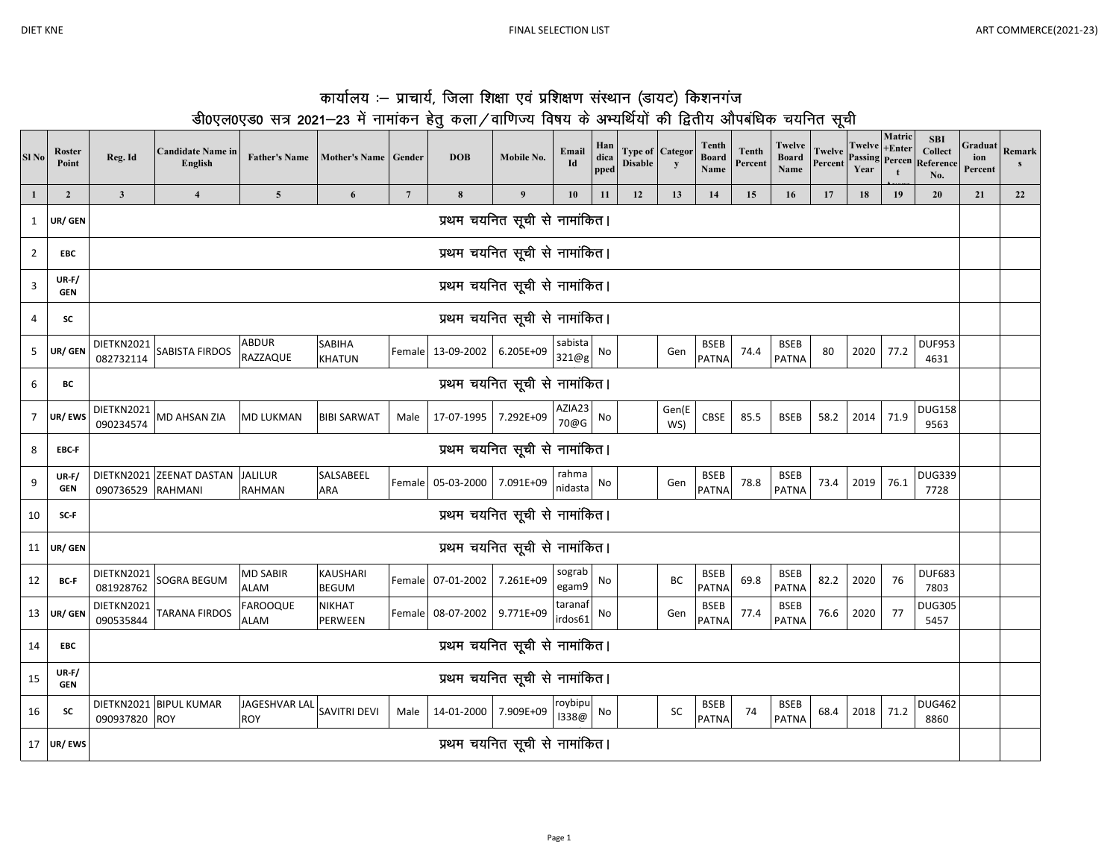$SI$  No

 $\mathbf 1$  $\mathbf{1}$ 

 $\overline{2}$ 

 $\mathbf{3}$ 

 $\overline{4}$ 

 $5<sup>1</sup>$ 

 $6\overline{6}$ 

 $\overline{7}$ 

8

 $9$ 

10

11

12

13

14

15

16

17

| <b>Roster</b><br>Point | Reg. Id                                                                                                                                                                                                                                      | <b>Candidate Name in</b><br>English | <b>Father's Name</b>               | <b>Mother's Name</b>            | Gender          | <b>DOB</b>                  | Mobile No.                    | Email<br>Id        | Han<br>dica<br>pped | <b>Type of Categor</b><br><b>Disable</b> | y         | Tenth<br><b>Board</b><br>Name | <b>Tenth</b><br>Percent | Twelve<br><b>Board</b><br>Name | Twelve<br>Percent | <b>Twelve</b><br><b>Passing Percen</b><br>Year | Matric<br>$+Enter$<br>$\mathbf t$ | <b>SBI</b><br><b>Collect</b><br>Reference<br>No. | Graduat<br>ion<br>Percent | Remark<br>$\mathbf{s}$ |
|------------------------|----------------------------------------------------------------------------------------------------------------------------------------------------------------------------------------------------------------------------------------------|-------------------------------------|------------------------------------|---------------------------------|-----------------|-----------------------------|-------------------------------|--------------------|---------------------|------------------------------------------|-----------|-------------------------------|-------------------------|--------------------------------|-------------------|------------------------------------------------|-----------------------------------|--------------------------------------------------|---------------------------|------------------------|
| $\overline{2}$         | $\mathbf{3}$                                                                                                                                                                                                                                 | $\overline{\mathbf{4}}$             | $5\phantom{.0}$                    | 6                               | $7\phantom{.0}$ | $\bf{8}$                    | $\overline{9}$                | 10                 | 11                  | 12                                       | 13        | 14                            | 15                      | 16                             | 17                | 18                                             | 19                                | 20                                               | 21                        | 22                     |
| UR/ GEN                |                                                                                                                                                                                                                                              |                                     |                                    |                                 |                 |                             | प्रथम चयनित सूची से नामांकित। |                    |                     |                                          |           |                               |                         |                                |                   |                                                |                                   |                                                  |                           |                        |
| EBC                    |                                                                                                                                                                                                                                              |                                     |                                    |                                 |                 |                             | प्रथम चयनित सूची से नामांकित। |                    |                     |                                          |           |                               |                         |                                |                   |                                                |                                   |                                                  |                           |                        |
| $UR-F/$<br><b>GEN</b>  |                                                                                                                                                                                                                                              |                                     |                                    |                                 |                 |                             | प्रथम चयनित सूची से नामांकित। |                    |                     |                                          |           |                               |                         |                                |                   |                                                |                                   |                                                  |                           |                        |
| <b>SC</b>              |                                                                                                                                                                                                                                              |                                     |                                    |                                 |                 |                             | प्रथम चयनित सूची से नामांकित। |                    |                     |                                          |           |                               |                         |                                |                   |                                                |                                   |                                                  |                           |                        |
| UR/ GEN                | DIETKN2021<br>082732114                                                                                                                                                                                                                      | SABISTA FIRDOS                      | <b>ABDUR</b><br>RAZZAQUE           | SABIHA<br><b>KHATUN</b>         | Female          | 13-09-2002                  | 6.205E+09                     | sabista<br>321@g   | No                  |                                          | Gen       | <b>BSEB</b><br><b>PATNA</b>   | 74.4                    | <b>BSEB</b><br><b>PATNA</b>    | 80                | 2020                                           | 77.2                              | <b>DUF953</b><br>4631                            |                           |                        |
| ВC                     |                                                                                                                                                                                                                                              |                                     |                                    |                                 |                 |                             | प्रथम चयनित सूची से नामांकित। |                    |                     |                                          |           |                               |                         |                                |                   |                                                |                                   |                                                  |                           |                        |
| UR/EWS                 | AZIA23<br>DIETKN2021<br><b>DUG158</b><br>Gen(E<br>71.9<br>CBSE<br>85.5<br>MD AHSAN ZIA<br><b>MD LUKMAN</b><br><b>BIBI SARWAT</b><br>17-07-1995<br>7.292E+09<br><b>BSEB</b><br>58.2<br>2014<br>Male<br>No<br>70@G<br>090234574<br>9563<br>WS) |                                     |                                    |                                 |                 |                             |                               |                    |                     |                                          |           |                               |                         |                                |                   |                                                |                                   |                                                  |                           |                        |
| EBC-F                  |                                                                                                                                                                                                                                              |                                     |                                    |                                 |                 |                             | प्रथम चयनित सूची से नामांकित। |                    |                     |                                          |           |                               |                         |                                |                   |                                                |                                   |                                                  |                           |                        |
| $UR-F/$<br><b>GEN</b>  | DIETKN2021<br>090736529                                                                                                                                                                                                                      | <b>ZEENAT DASTAN</b><br>RAHMANI     | <b>JALILUR</b><br><b>RAHMAN</b>    | SALSABEEL<br><b>ARA</b>         | Female          | 05-03-2000                  | 7.091E+09                     | rahma<br>nidasta   | No                  |                                          | Gen       | <b>BSEB</b><br><b>PATNA</b>   | 78.8                    | <b>BSEB</b><br><b>PATNA</b>    | 73.4              | 2019                                           | 76.1                              | <b>DUG339</b><br>7728                            |                           |                        |
| SC-F                   |                                                                                                                                                                                                                                              |                                     |                                    |                                 |                 |                             | प्रथम चयनित सूची से नामांकित। |                    |                     |                                          |           |                               |                         |                                |                   |                                                |                                   |                                                  |                           |                        |
| UR/ GEN                |                                                                                                                                                                                                                                              |                                     |                                    |                                 |                 |                             | प्रथम चयनित सूची से नामांकित। |                    |                     |                                          |           |                               |                         |                                |                   |                                                |                                   |                                                  |                           |                        |
| <b>BC-F</b>            | DIETKN2021<br>081928762                                                                                                                                                                                                                      | SOGRA BEGUM                         | <b>MD SABIR</b><br><b>ALAM</b>     | <b>KAUSHARI</b><br><b>BEGUM</b> | Female          | 07-01-2002                  | 7.261E+09                     | sograb<br>egam9    | No                  |                                          | BC        | <b>BSEB</b><br><b>PATNA</b>   | 69.8                    | <b>BSEB</b><br><b>PATNA</b>    | 82.2              | 2020                                           | 76                                | <b>DUF683</b><br>7803                            |                           |                        |
| UR/ GEN                | DIETKN2021<br>090535844                                                                                                                                                                                                                      | TARANA FIRDOS                       | <b>FAROOQUE</b><br>ALAM            | <b>NIKHAT</b><br><b>PERWEEN</b> |                 | Female 08-07-2002 9.771E+09 |                               | taranaf<br>irdos61 | No                  |                                          | Gen       | <b>BSEB</b><br><b>PATNA</b>   | 77.4                    | <b>BSEB</b><br><b>PATNA</b>    | 76.6              | 2020                                           | 77                                | <b>DUG305</b><br>5457                            |                           |                        |
| EBC                    |                                                                                                                                                                                                                                              |                                     |                                    |                                 |                 |                             | प्रथम चयनित सूची से नामांकित। |                    |                     |                                          |           |                               |                         |                                |                   |                                                |                                   |                                                  |                           |                        |
| $UR-F/$<br><b>GEN</b>  |                                                                                                                                                                                                                                              |                                     |                                    |                                 |                 |                             | प्रथम चयनित सूची से नामांकित। |                    |                     |                                          |           |                               |                         |                                |                   |                                                |                                   |                                                  |                           |                        |
| <b>SC</b>              | DIETKN2021<br>090937820 ROY                                                                                                                                                                                                                  | <b>BIPUL KUMAR</b>                  | <b>JAGESHVAR LAI</b><br><b>ROY</b> | SAVITRI DEVI                    | Male            | 14-01-2000                  | 7.909E+09                     | roybipu<br>1338@   | No                  |                                          | <b>SC</b> | <b>BSEB</b><br><b>PATNA</b>   | 74                      | <b>BSEB</b><br><b>PATNA</b>    | 68.4              | 2018                                           | 71.2                              | <b>DUG462</b><br>8860                            |                           |                        |
| UR/ EWS                |                                                                                                                                                                                                                                              |                                     |                                    |                                 |                 |                             | प्रथम चयनित सूची से नामांकित। |                    |                     |                                          |           |                               |                         |                                |                   |                                                |                                   |                                                  |                           |                        |

## कार्यालय :- प्राचार्य, जिला शिक्षा एवं प्रशिक्षण संस्थान (डायट) किशनगंज डी0एल0एड0 सत्र 2021–23 में नामांकन हेतु कला/वाणिज्य विषय के अभ्यर्थियों की द्वितीय औपबंधिक चयनित सूची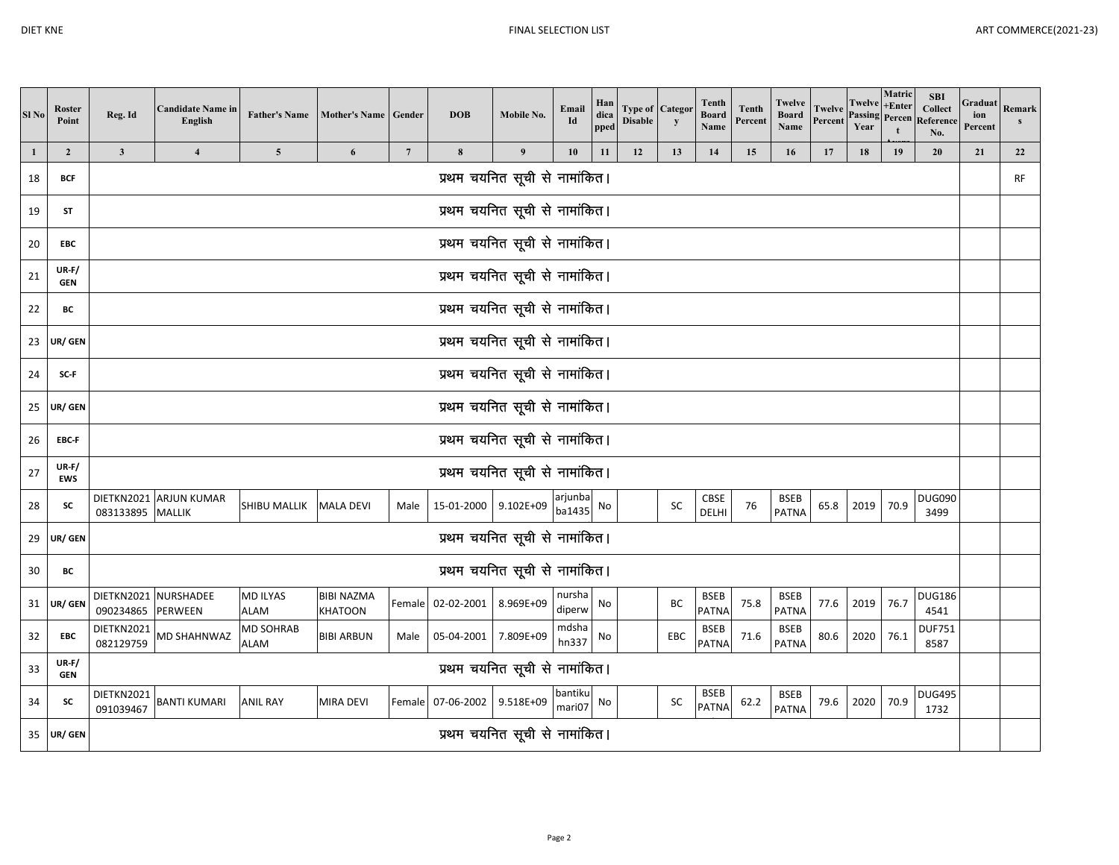| Sl <sub>No</sub> | <b>Roster</b><br>Point  | Reg. Id                       | <b>Candidate Name in</b><br>English | <b>Father's Name</b>     | Mother's Name   Gender              |                | <b>DOB</b>           | Mobile No.                    | Email<br>Id       | Han<br>dica<br>pped | <b>Type of Categor</b><br><b>Disable</b> | y   | <b>Tenth</b><br><b>Board</b><br>Name | <b>Tenth</b><br>Percent | Twelve<br><b>Board</b><br>Name | Twelve<br>Percent | Twelve<br><b>Passing</b> Percen<br>Year | Matric<br>$+Enter$ | <b>SBI</b><br><b>Collect</b><br>Reference<br>No. | Graduat<br>ion<br>Percent | Remark<br>$\mathbf{s}$ |
|------------------|-------------------------|-------------------------------|-------------------------------------|--------------------------|-------------------------------------|----------------|----------------------|-------------------------------|-------------------|---------------------|------------------------------------------|-----|--------------------------------------|-------------------------|--------------------------------|-------------------|-----------------------------------------|--------------------|--------------------------------------------------|---------------------------|------------------------|
| $\mathbf{1}$     | $\overline{\mathbf{c}}$ | $\mathbf{3}$                  | $\overline{\mathbf{4}}$             | $\overline{5}$           | 6                                   | $\overline{7}$ | $\bf8$               | 9                             | 10                | 11                  | 12                                       | 13  | 14                                   | 15                      | 16                             | 17                | 18                                      | 19                 | 20                                               | 21                        | 22                     |
| 18               | <b>BCF</b>              |                               |                                     |                          |                                     |                |                      | प्रथम चयनित सूची से नामांकित। |                   |                     |                                          |     |                                      |                         |                                |                   |                                         |                    |                                                  |                           | <b>RF</b>              |
| 19               | <b>ST</b>               |                               |                                     |                          |                                     |                |                      | प्रथम चयनित सूची से नामांकित। |                   |                     |                                          |     |                                      |                         |                                |                   |                                         |                    |                                                  |                           |                        |
| 20               | EBC                     |                               |                                     |                          |                                     |                |                      | प्रथम चयनित सूची से नामांकित। |                   |                     |                                          |     |                                      |                         |                                |                   |                                         |                    |                                                  |                           |                        |
| 21               | $UR-F/$<br><b>GEN</b>   |                               | प्रथम चयनित सूची से नामांकित।       |                          |                                     |                |                      |                               |                   |                     |                                          |     |                                      |                         |                                |                   |                                         |                    |                                                  |                           |                        |
| 22               | BC                      | प्रथम चयनित सूची से नामांकित। |                                     |                          |                                     |                |                      |                               |                   |                     |                                          |     |                                      |                         |                                |                   |                                         |                    |                                                  |                           |                        |
| 23               | UR/ GEN                 | प्रथम चयनित सूची से नामांकित। |                                     |                          |                                     |                |                      |                               |                   |                     |                                          |     |                                      |                         |                                |                   |                                         |                    |                                                  |                           |                        |
| 24               | SC-F                    | प्रथम चयनित सूची से नामांकित। |                                     |                          |                                     |                |                      |                               |                   |                     |                                          |     |                                      |                         |                                |                   |                                         |                    |                                                  |                           |                        |
| 25               | UR/ GEN                 |                               |                                     |                          |                                     |                |                      | प्रथम चयनित सूची से नामांकित। |                   |                     |                                          |     |                                      |                         |                                |                   |                                         |                    |                                                  |                           |                        |
| 26               | EBC-F                   |                               |                                     |                          |                                     |                |                      | प्रथम चयनित सूची से नामांकित। |                   |                     |                                          |     |                                      |                         |                                |                   |                                         |                    |                                                  |                           |                        |
| 27               | $UR-F/$<br><b>EWS</b>   |                               |                                     |                          |                                     |                |                      | प्रथम चयनित सूची से नामांकित। |                   |                     |                                          |     |                                      |                         |                                |                   |                                         |                    |                                                  |                           |                        |
| 28               | <b>SC</b>               | 083133895 MALLIK              | DIETKN2021 ARJUN KUMAR              | SHIBU MALLIK             | <b>MALA DEVI</b>                    | Male           | 15-01-2000 9.102E+09 |                               | arjunba<br>ba1435 | No                  |                                          | SC  | CBSE<br>DELHI                        | 76                      | <b>BSEB</b><br><b>PATNA</b>    | 65.8              | 2019                                    | 70.9               | <b>DUG090</b><br>3499                            |                           |                        |
| 29               | UR/ GEN                 |                               |                                     |                          |                                     |                |                      | प्रथम चयनित सूची से नामांकित। |                   |                     |                                          |     |                                      |                         |                                |                   |                                         |                    |                                                  |                           |                        |
| 30               | ВC                      |                               |                                     |                          |                                     |                |                      | प्रथम चयनित सूची से नामांकित। |                   |                     |                                          |     |                                      |                         |                                |                   |                                         |                    |                                                  |                           |                        |
| 31               | UR/ GEN                 | 090234865                     | DIETKN2021 NURSHADEE<br>PERWEEN     | MD ILYAS<br><b>ALAM</b>  | <b>BIBI NAZMA</b><br><b>KHATOON</b> |                | Female 02-02-2001    | 8.969E+09                     | nursha<br>diperw  | No                  |                                          | BC  | BSEB<br><b>PATNA</b>                 | 75.8                    | <b>BSEB</b><br><b>PATNA</b>    | 77.6              | 2019                                    | 76.7               | <b>DUG186</b><br>4541                            |                           |                        |
| 32               | EBC                     | DIETKN2021<br>082129759       | <b>MD SHAHNWAZ</b>                  | <b>MD SOHRAB</b><br>ALAM | <b>BIBI ARBUN</b>                   | Male           | 05-04-2001           | 7.809E+09                     | mdsha<br>hn337    | No                  |                                          | EBC | <b>BSEB</b><br>PATNA                 | 71.6                    | <b>BSEB</b><br><b>PATNA</b>    | 80.6              | 2020                                    | 76.1               | <b>DUF751</b><br>8587                            |                           |                        |
| 33               | $UR-F/$<br><b>GEN</b>   | प्रथम चयनित सूची से नामांकित। |                                     |                          |                                     |                |                      |                               |                   |                     |                                          |     |                                      |                         |                                |                   |                                         |                    |                                                  |                           |                        |
| 34               | <b>SC</b>               | DIETKN2021<br>091039467       | <b>BANTI KUMARI</b>                 | <b>ANIL RAY</b>          | <b>MIRA DEVI</b>                    |                | Female 07-06-2002    | 9.518E+09                     | bantiku<br>mari07 | No                  |                                          | SC  | <b>BSEB</b><br><b>PATNA</b>          | 62.2                    | <b>BSEB</b><br><b>PATNA</b>    | 79.6              | 2020                                    | 70.9               | <b>DUG495</b><br>1732                            |                           |                        |
| 35               | UR/ GEN                 |                               |                                     |                          |                                     |                |                      | प्रथम चयनित सूची से नामांकित। |                   |                     |                                          |     |                                      |                         |                                |                   |                                         |                    |                                                  |                           |                        |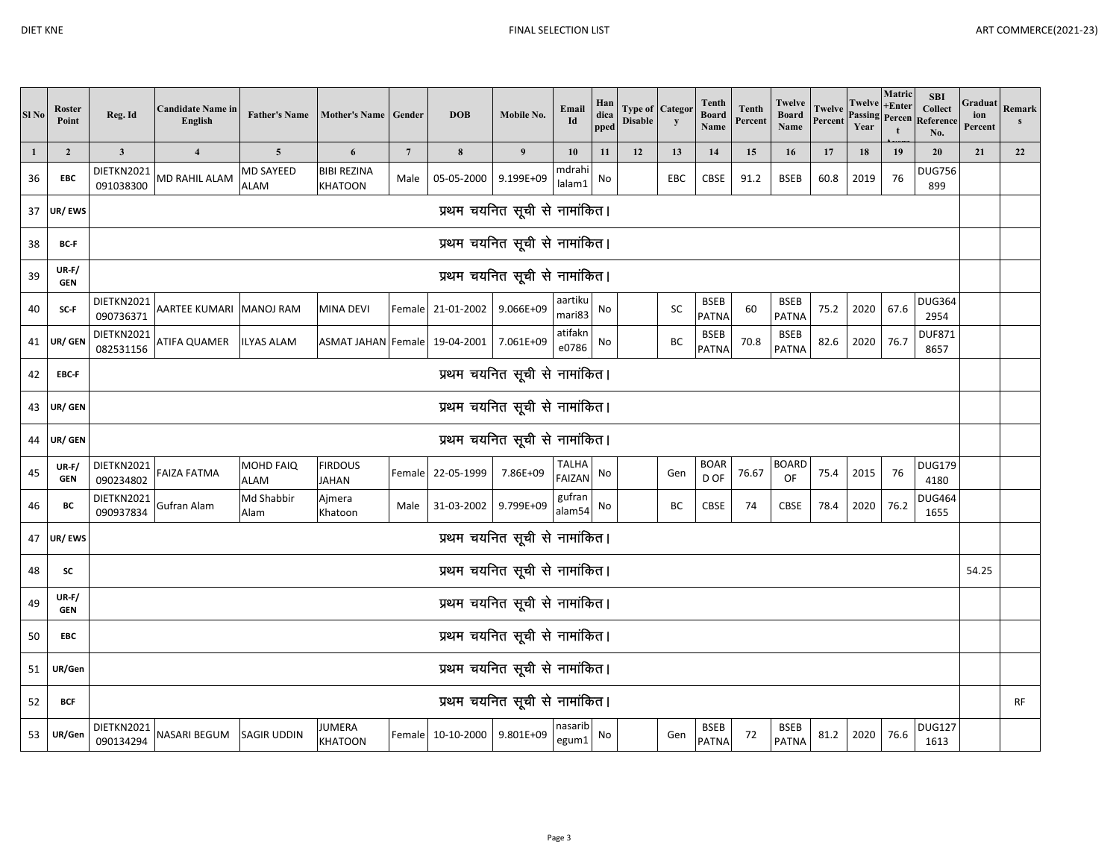| Sl <sub>No</sub> | Roster<br>Point       | Reg. Id                                                                                                                                                                                                                                                                | <b>Candidate Name in</b><br>English | <b>Father's Name</b>     | Mother's Name   Gender        |                 | <b>DOB</b>                  | Mobile No.                    | Email<br>Id         | Han<br>dica<br>pped | Type of<br><b>Disable</b> | Catego<br>y | Tenth<br><b>Board</b><br>Name | <b>Tenth</b><br>Percent | Twelve<br><b>Board</b><br>Name | Twelv<br>Percent | <b>Twelve</b><br>Passing<br>Year | Matric<br>+Enter | <b>SBI</b><br><b>Collect</b><br>Percen Reference<br>No. | Graduat<br>ion<br>Percent | Remark<br>$\mathbf{s}$ |
|------------------|-----------------------|------------------------------------------------------------------------------------------------------------------------------------------------------------------------------------------------------------------------------------------------------------------------|-------------------------------------|--------------------------|-------------------------------|-----------------|-----------------------------|-------------------------------|---------------------|---------------------|---------------------------|-------------|-------------------------------|-------------------------|--------------------------------|------------------|----------------------------------|------------------|---------------------------------------------------------|---------------------------|------------------------|
| 1                | $\overline{2}$        | $\mathbf{3}$                                                                                                                                                                                                                                                           | $\overline{\mathbf{4}}$             | $\overline{5}$           | 6                             | $7\phantom{.0}$ | $\boldsymbol{8}$            | $\boldsymbol{9}$              | 10                  | 11                  | 12                        | 13          | 14                            | 15                      | 16                             | 17               | 18                               | 19               | 20                                                      | 21                        | 22                     |
| 36               | EBC                   | DIETKN2021<br>091038300                                                                                                                                                                                                                                                | MD RAHIL ALAM                       | MD SAYEED<br><b>ALAM</b> | <b>BIBI REZINA</b><br>KHATOON | Male            | 05-05-2000                  | 9.199E+09                     | mdrahi<br>lalam1    | No                  |                           | EBC         | CBSE                          | 91.2                    | <b>BSEB</b>                    | 60.8             | 2019                             | 76               | <b>DUG756</b><br>899                                    |                           |                        |
| 37               | UR/EWS                |                                                                                                                                                                                                                                                                        |                                     |                          |                               |                 |                             | प्रथम चयनित सूची से नामांकित। |                     |                     |                           |             |                               |                         |                                |                  |                                  |                  |                                                         |                           |                        |
| 38               | BC-F                  |                                                                                                                                                                                                                                                                        |                                     |                          |                               |                 |                             | प्रथम चयनित सूची से नामांकित। |                     |                     |                           |             |                               |                         |                                |                  |                                  |                  |                                                         |                           |                        |
| 39               | $UR-F/$<br><b>GEN</b> |                                                                                                                                                                                                                                                                        |                                     |                          |                               |                 |                             | प्रथम चयनित सूची से नामांकित। |                     |                     |                           |             |                               |                         |                                |                  |                                  |                  |                                                         |                           |                        |
| 40               | SC-F                  | DIETKN2021<br>090736371                                                                                                                                                                                                                                                | AARTEE KUMARI MANOJ RAM             |                          | MINA DEVI                     |                 | Female 21-01-2002 9.066E+09 |                               | aartiku<br>mari83   | No                  |                           | SC          | <b>BSEB</b><br>PATNA          | 60                      | <b>BSEB</b><br><b>PATNA</b>    | 75.2             | 2020                             | 67.6             | <b>DUG364</b><br>2954                                   |                           |                        |
| 41               | UR/ GEN               | DIETKN2021<br>082531156                                                                                                                                                                                                                                                | ATIFA QUAMER                        | <b>ILYAS ALAM</b>        | ASMAT JAHAN Female 19-04-2001 |                 |                             | 7.061E+09                     | atifakn<br>e0786    | No                  |                           | BC          | <b>BSEB</b><br><b>PATNA</b>   | 70.8                    | <b>BSEB</b><br><b>PATNA</b>    | 82.6             | 2020                             | 76.7             | <b>DUF871</b><br>8657                                   |                           |                        |
| 42               | EBC-F                 | प्रथम चयनित सूची से नामांकित।                                                                                                                                                                                                                                          |                                     |                          |                               |                 |                             |                               |                     |                     |                           |             |                               |                         |                                |                  |                                  |                  |                                                         |                           |                        |
| 43               | UR/ GEN               | प्रथम चयनित सूची से नामांकित।                                                                                                                                                                                                                                          |                                     |                          |                               |                 |                             |                               |                     |                     |                           |             |                               |                         |                                |                  |                                  |                  |                                                         |                           |                        |
| 44               | UR/ GEN               |                                                                                                                                                                                                                                                                        |                                     |                          |                               |                 |                             | प्रथम चयनित सूची से नामांकित। |                     |                     |                           |             |                               |                         |                                |                  |                                  |                  |                                                         |                           |                        |
| 45               | $UR-F/$<br><b>GEN</b> | DIETKN2021<br>090234802                                                                                                                                                                                                                                                | FAIZA FATMA                         | MOHD FAIQ<br><b>ALAM</b> | <b>FIRDOUS</b><br>JAHAN       | Female          | 22-05-1999                  | 7.86E+09                      | TALHA<br>FAIZAN     | No                  |                           | Gen         | <b>BOAR</b><br>D OF           | 76.67                   | <b>BOARD</b><br>OF             | 75.4             | 2015                             | 76               | <b>DUG179</b><br>4180                                   |                           |                        |
| 46               | BC                    | DIETKN2021<br>090937834                                                                                                                                                                                                                                                | Gufran Alam                         | Md Shabbir<br>Alam       | Ajmera<br>Khatoon             | Male            | 31-03-2002 9.799E+09        |                               | gufran<br>alam54 No |                     |                           | ВC          | CBSE                          | 74                      | <b>CBSE</b>                    | 78.4             | 2020                             | 76.2             | <b>DUG464</b><br>1655                                   |                           |                        |
| 47               | UR/EWS                |                                                                                                                                                                                                                                                                        |                                     |                          |                               |                 |                             | प्रथम चयनित सूची से नामांकित। |                     |                     |                           |             |                               |                         |                                |                  |                                  |                  |                                                         |                           |                        |
| 48               | SC                    |                                                                                                                                                                                                                                                                        |                                     |                          |                               |                 |                             | प्रथम चयनित सूची से नामांकित। |                     |                     |                           |             |                               |                         |                                |                  |                                  |                  |                                                         | 54.25                     |                        |
| 49               | $UR-F/$<br><b>GEN</b> |                                                                                                                                                                                                                                                                        |                                     |                          |                               |                 |                             | प्रथम चयनित सूची से नामांकित। |                     |                     |                           |             |                               |                         |                                |                  |                                  |                  |                                                         |                           |                        |
| 50               | EBC                   | प्रथम चयनित सूची से नामांकित।                                                                                                                                                                                                                                          |                                     |                          |                               |                 |                             |                               |                     |                     |                           |             |                               |                         |                                |                  |                                  |                  |                                                         |                           |                        |
| 51               | UR/Gen                | प्रथम चयनित सूची से नामांकित।                                                                                                                                                                                                                                          |                                     |                          |                               |                 |                             |                               |                     |                     |                           |             |                               |                         |                                |                  |                                  |                  |                                                         |                           |                        |
| 52               | <b>BCF</b>            | प्रथम चयनित सूची से नामांकित।                                                                                                                                                                                                                                          |                                     |                          |                               |                 |                             |                               |                     |                     |                           |             |                               |                         | <b>RF</b>                      |                  |                                  |                  |                                                         |                           |                        |
| 53               | UR/Gen                | DIETKN2021<br>nasarib<br><b>DUG127</b><br>JUMERA<br><b>BSEB</b><br><b>BSEB</b><br>NASARI BEGUM<br>10-10-2000<br>9.801E+09<br>72<br>81.2<br>2020<br>76.6<br>SAGIR UDDIN<br>Female<br>No<br>Gen<br>egum1<br>090134294<br><b>PATNA</b><br><b>PATNA</b><br>1613<br>KHATOON |                                     |                          |                               |                 |                             |                               |                     |                     |                           |             |                               |                         |                                |                  |                                  |                  |                                                         |                           |                        |

Page 3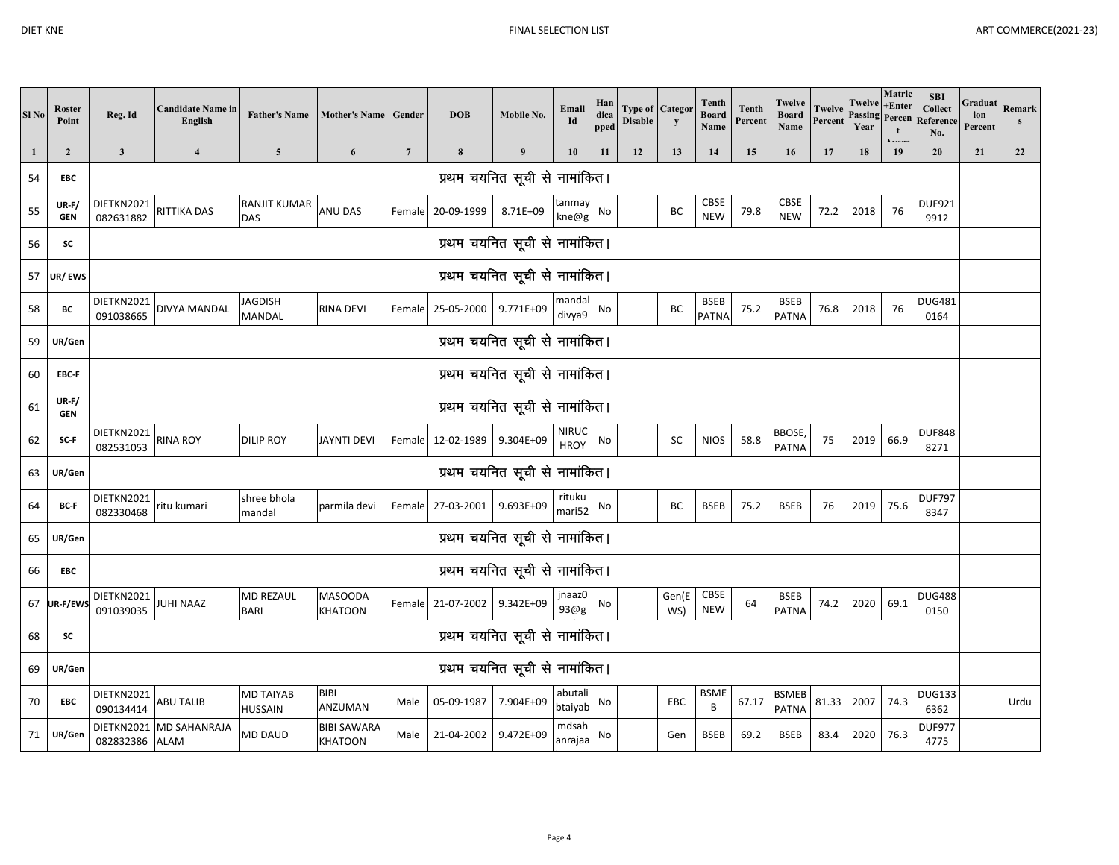| Sl <sub>No</sub> | <b>Roster</b><br>Point  | Reg. Id                       | <b>Candidate Name in</b><br>English | <b>Father's Name</b>            | <b>Mother's Name</b>                 | Gender          | <b>DOB</b>           | Mobile No.                    | Email<br>Id                 | Han<br>dica<br>pped | <b>Type of Categor</b><br><b>Disable</b> | y            | <b>Tenth</b><br><b>Board</b><br>Name | <b>Tenth</b><br>Percent | Twelve<br><b>Board</b><br>Name | Twelve<br>Percent | Twelve<br><b>Passing Percen</b><br>Year | Matric<br>+Enter<br>t | <b>SBI</b><br><b>Collect</b><br>Reference<br>No. | Graduat<br>ion<br>Percent | Remark<br>s |
|------------------|-------------------------|-------------------------------|-------------------------------------|---------------------------------|--------------------------------------|-----------------|----------------------|-------------------------------|-----------------------------|---------------------|------------------------------------------|--------------|--------------------------------------|-------------------------|--------------------------------|-------------------|-----------------------------------------|-----------------------|--------------------------------------------------|---------------------------|-------------|
| $\mathbf{1}$     | $\overline{\mathbf{c}}$ | $\mathbf{3}$                  | $\overline{\mathbf{4}}$             | $\overline{\mathbf{5}}$         | 6                                    | $7\phantom{.0}$ | $\pmb{8}$            | 9                             | 10                          | 11                  | 12                                       | 13           | 14                                   | 15                      | 16                             | 17                | 18                                      | 19                    | 20                                               | 21                        | 22          |
| 54               | <b>EBC</b>              |                               |                                     |                                 |                                      |                 |                      | प्रथम चयनित सूची से नामांकित। |                             |                     |                                          |              |                                      |                         |                                |                   |                                         |                       |                                                  |                           |             |
| 55               | $UR-F/$<br><b>GEN</b>   | DIETKN2021<br>082631882       | RITTIKA DAS                         | <b>RANJIT KUMAR</b><br>DAS      | ANU DAS                              |                 | Female 20-09-1999    | 8.71E+09                      | tanmay<br>kne@g             | No                  |                                          | BC           | CBSE<br><b>NEW</b>                   | 79.8                    | <b>CBSE</b><br><b>NEW</b>      | 72.2              | 2018                                    | 76                    | <b>DUF921</b><br>9912                            |                           |             |
| 56               | SC                      |                               |                                     |                                 |                                      |                 |                      | प्रथम चयनित सूची से नामांकित। |                             |                     |                                          |              |                                      |                         |                                |                   |                                         |                       |                                                  |                           |             |
| 57               | UR/EWS                  |                               |                                     |                                 |                                      |                 |                      | प्रथम चयनित सूची से नामांकित। |                             |                     |                                          |              |                                      |                         |                                |                   |                                         |                       |                                                  |                           |             |
| 58               | BC                      | DIETKN2021<br>091038665       | <b>DIVYA MANDAL</b>                 | JAGDISH<br>MANDAL               | <b>RINA DEVI</b>                     |                 | Female 25-05-2000    | 9.771E+09                     | mandal<br>divya9            | No                  |                                          | BC           | <b>BSEB</b><br><b>PATNA</b>          | 75.2                    | <b>BSEB</b><br><b>PATNA</b>    | 76.8              | 2018                                    | 76                    | <b>DUG481</b><br>0164                            |                           |             |
| 59               | UR/Gen                  |                               |                                     |                                 |                                      |                 |                      | प्रथम चयनित सूची से नामांकित। |                             |                     |                                          |              |                                      |                         |                                |                   |                                         |                       |                                                  |                           |             |
| 60               | EBC-F                   | प्रथम चयनित सूची से नामांकित। |                                     |                                 |                                      |                 |                      |                               |                             |                     |                                          |              |                                      |                         |                                |                   |                                         |                       |                                                  |                           |             |
| 61               | $UR-F/$<br><b>GEN</b>   |                               |                                     |                                 |                                      |                 |                      | प्रथम चयनित सूची से नामांकित। |                             |                     |                                          |              |                                      |                         |                                |                   |                                         |                       |                                                  |                           |             |
| 62               | SC-F                    | DIETKN2021<br>082531053       | <b>RINA ROY</b>                     | <b>DILIP ROY</b>                | <b>JAYNTI DEVI</b>                   | Female          | 12-02-1989           | 9.304E+09                     | <b>NIRUC</b><br><b>HROY</b> | No                  |                                          | SC           | <b>NIOS</b>                          | 58.8                    | BBOSE,<br>PATNA                | 75                | 2019                                    | 66.9                  | <b>DUF848</b><br>8271                            |                           |             |
| 63               | UR/Gen                  |                               |                                     |                                 |                                      |                 |                      | प्रथम चयनित सूची से नामांकित। |                             |                     |                                          |              |                                      |                         |                                |                   |                                         |                       |                                                  |                           |             |
| 64               | BC-F                    | DIETKN2021<br>082330468       | ritu kumari                         | shree bhola<br>mandal           | parmila devi                         | Female          | 27-03-2001           | 9.693E+09                     | rituku<br>mari52            | No                  |                                          | BC           | <b>BSEB</b>                          | 75.2                    | <b>BSEB</b>                    | 76                | 2019                                    | 75.6                  | <b>DUF797</b><br>8347                            |                           |             |
| 65               | UR/Gen                  |                               |                                     |                                 |                                      |                 |                      | प्रथम चयनित सूची से नामांकित। |                             |                     |                                          |              |                                      |                         |                                |                   |                                         |                       |                                                  |                           |             |
| 66               | EBC                     |                               |                                     |                                 |                                      |                 |                      | प्रथम चयनित सूची से नामांकित। |                             |                     |                                          |              |                                      |                         |                                |                   |                                         |                       |                                                  |                           |             |
| 67               | UR-F/EWS                | DIETKN2021<br>091039035       | JUHI NAAZ                           | <b>MD REZAUL</b><br><b>BARI</b> | <b>MASOODA</b><br><b>KHATOON</b>     | Female          | 21-07-2002 9.342E+09 |                               | jnaaz0<br>93@g              | No                  |                                          | Gen(E<br>WS) | CBSE<br><b>NEW</b>                   | 64                      | <b>BSEB</b><br>PATNA           | 74.2              | 2020                                    | 69.1                  | <b>DUG488</b><br>0150                            |                           |             |
| 68               | SC                      | प्रथम चयनित सूची से नामांकित। |                                     |                                 |                                      |                 |                      |                               |                             |                     |                                          |              |                                      |                         |                                |                   |                                         |                       |                                                  |                           |             |
| 69               | UR/Gen                  | प्रथम चयनित सूची से नामांकित। |                                     |                                 |                                      |                 |                      |                               |                             |                     |                                          |              |                                      |                         |                                |                   |                                         |                       |                                                  |                           |             |
| 70               | <b>EBC</b>              | DIETKN2021<br>090134414       | ABU TALIB                           | <b>MD TAIYAB</b><br>HUSSAIN     | <b>BIBI</b><br>ANZUMAN               | Male            | 05-09-1987           | 7.904E+09                     | abutali<br>btaiyab          | No                  |                                          | EBC          | <b>BSME</b><br>B                     | 67.17                   | <b>BSMEB</b><br><b>PATNA</b>   | 81.33             | 2007                                    | 74.3                  | <b>DUG133</b><br>6362                            |                           | Urdu        |
| 71               | UR/Gen                  | 082832386 ALAM                | DIETKN2021 MD SAHANRAJA             | MD DAUD                         | <b>BIBI SAWARA</b><br><b>KHATOON</b> | Male            | 21-04-2002           | 9.472E+09                     | mdsah<br>anrajaa            | No                  |                                          | Gen          | <b>BSEB</b>                          | 69.2                    | <b>BSEB</b>                    | 83.4              | 2020                                    | 76.3                  | <b>DUF977</b><br>4775                            |                           |             |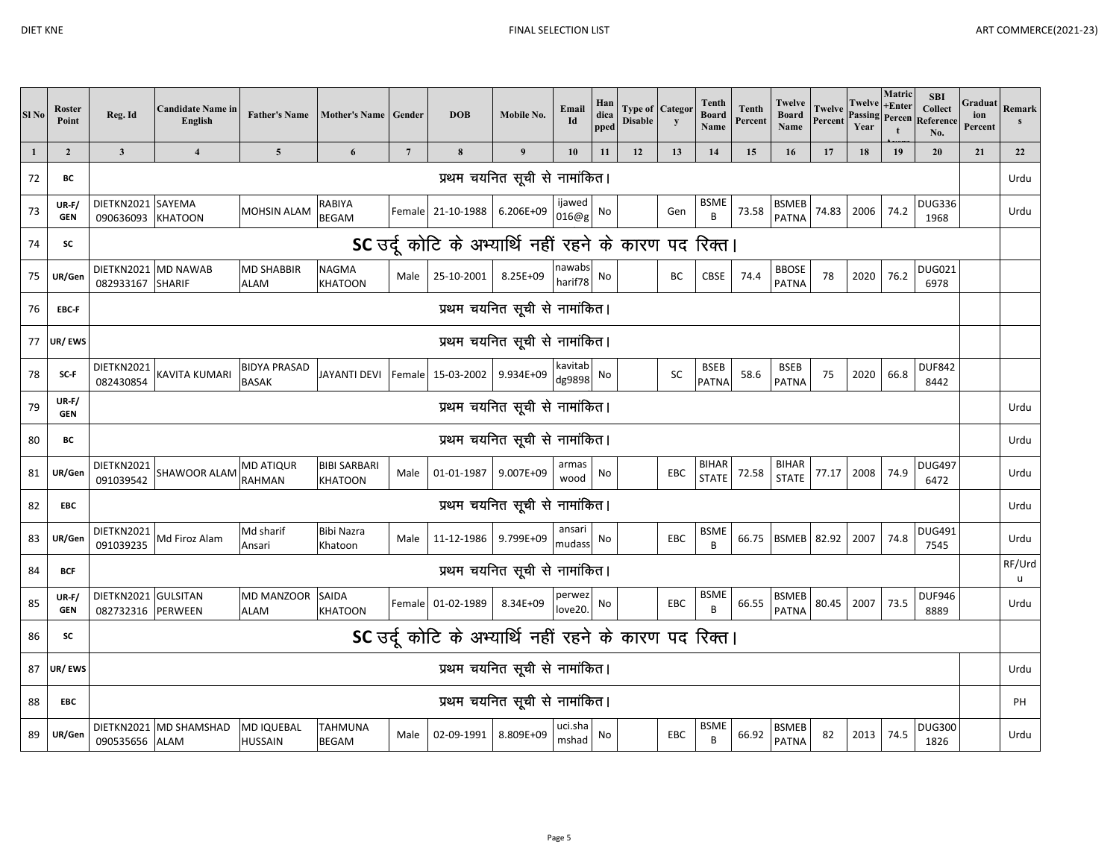| ٠<br>ı |  |
|--------|--|
|--------|--|

| Sl <sub>No</sub> | <b>Roster</b><br>Point | Reg. Id                                                | <b>Candidate Name in</b><br>English   | <b>Father's Name</b>                | Mother's Name Gender                  |                 | <b>DOB</b>                                             | Mobile No.                    | Email<br>Id       | Han<br>dica<br>pped | <b>Disable</b> | <b>Type of Categor</b><br>$\mathbf{y}$ | Tenth<br><b>Board</b><br>Name | <b>Tenth</b><br>Percent | Twelve<br><b>Board</b><br>Name | <b>Twelve</b><br>Percent | Twelve<br>Year | Matric<br>$+$ Enter | <b>SBI</b><br><b>Collect</b><br><b>Passing Percen Reference</b><br>No. | Graduat<br>ion<br>Percent | Remark<br>s |
|------------------|------------------------|--------------------------------------------------------|---------------------------------------|-------------------------------------|---------------------------------------|-----------------|--------------------------------------------------------|-------------------------------|-------------------|---------------------|----------------|----------------------------------------|-------------------------------|-------------------------|--------------------------------|--------------------------|----------------|---------------------|------------------------------------------------------------------------|---------------------------|-------------|
| $\mathbf{1}$     | $\overline{2}$         | $\overline{\mathbf{3}}$                                | $\overline{\mathbf{4}}$               | $\overline{\mathbf{5}}$             | 6                                     | $7\phantom{.0}$ | 8                                                      | 9                             | 10                | 11                  | 12             | 13                                     | 14                            | 15                      | 16                             | 17                       | 18             | 19                  | 20                                                                     | 21                        | 22          |
| 72               | ВC                     |                                                        |                                       |                                     |                                       |                 |                                                        | प्रथम चयनित सूची से नामांकित। |                   |                     |                |                                        |                               |                         |                                |                          |                |                     |                                                                        |                           | Urdu        |
| 73               | $UR-F/$<br><b>GEN</b>  | DIETKN2021 SAYEMA<br>090636093 KHATOON                 |                                       | <b>MOHSIN ALAM</b>                  | RABIYA<br><b>BEGAM</b>                |                 | Female 21-10-1988                                      | 6.206E+09                     | ijawed<br>016@g   | No                  |                | Gen                                    | <b>BSME</b><br>B              | 73.58                   | <b>BSMEB</b><br><b>PATNA</b>   | 74.83                    | 2006           | 74.2                | <b>DUG336</b><br>1968                                                  |                           | Urdu        |
| 74               | <b>SC</b>              |                                                        |                                       |                                     |                                       |                 | SC उर्दू कोटि के अभ्यार्थि नहीं रहने के कारण पद रिक्त। |                               |                   |                     |                |                                        |                               |                         |                                |                          |                |                     |                                                                        |                           |             |
| 75               | UR/Gen                 | DIETKN2021 MD NAWAB<br>082933167 SHARIF                |                                       | <b>MD SHABBIR</b><br>ALAM           | <b>NAGMA</b><br><b>KHATOON</b>        | Male            | 25-10-2001                                             | 8.25E+09                      | nawabs<br>harif78 | No                  |                | BC                                     | CBSE                          | 74.4                    | <b>BBOSE</b><br><b>PATNA</b>   | 78                       | 2020           | 76.2                | <b>DUG021</b><br>6978                                                  |                           |             |
| 76               | EBC-F                  |                                                        |                                       |                                     |                                       |                 |                                                        | प्रथम चयनित सूची से नामांकित। |                   |                     |                |                                        |                               |                         |                                |                          |                |                     |                                                                        |                           |             |
| 77               | UR/EWS                 | प्रथम चयनित सूची से नामांकित।                          |                                       |                                     |                                       |                 |                                                        |                               |                   |                     |                |                                        |                               |                         |                                |                          |                |                     |                                                                        |                           |             |
| 78               | SC-F                   | DIETKN2021<br>082430854                                | <b>KAVITA KUMARI</b>                  | <b>BIDYA PRASAD</b><br><b>BASAK</b> | JAYANTI DEVI                          | Female          | 15-03-2002                                             | 9.934E+09                     | kavitab<br>dg9898 | No                  |                | SC                                     | <b>BSEB</b><br><b>PATNA</b>   | 58.6                    | <b>BSEB</b><br><b>PATNA</b>    | 75                       | 2020           | 66.8                | <b>DUF842</b><br>8442                                                  |                           |             |
| 79               | $UR-F/$<br><b>GEN</b>  |                                                        |                                       |                                     |                                       |                 |                                                        | प्रथम चयनित सूची से नामांकित। |                   |                     |                |                                        |                               |                         |                                |                          |                |                     |                                                                        |                           | Urdu        |
| 80               | ВC                     |                                                        |                                       |                                     |                                       |                 |                                                        | प्रथम चयनित सूची से नामांकित। |                   |                     |                |                                        |                               |                         |                                |                          |                |                     |                                                                        |                           | Urdu        |
| 81               | UR/Gen                 | DIETKN2021<br>091039542                                | <b>SHAWOOR ALAM</b>                   | <b>MD ATIQUR</b><br>RAHMAN          | <b>BIBI SARBARI</b><br><b>KHATOON</b> | Male            | 01-01-1987                                             | 9.007E+09                     | armas<br>wood     | No                  |                | EBC                                    | <b>BIHAR</b><br><b>STATE</b>  | 72.58                   | <b>BIHAR</b><br><b>STATE</b>   | 77.17                    | 2008           | 74.9                | <b>DUG497</b><br>6472                                                  |                           | Urdu        |
| 82               | <b>EBC</b>             |                                                        |                                       |                                     |                                       |                 |                                                        | प्रथम चयनित सूची से नामांकित। |                   |                     |                |                                        |                               |                         |                                |                          |                |                     |                                                                        |                           | Urdu        |
| 83               | UR/Gen                 | DIETKN2021<br>091039235                                | Md Firoz Alam                         | Md sharif<br>Ansari                 | <b>Bibi Nazra</b><br>Khatoon          | Male            | 11-12-1986                                             | 9.799E+09                     | ansari<br>mudass  | No                  |                | EBC                                    | <b>BSME</b><br>B              | 66.75                   | <b>BSMEB</b>                   | 82.92                    | 2007           | 74.8                | <b>DUG491</b><br>7545                                                  |                           | Urdu        |
| 84               | <b>BCF</b>             |                                                        |                                       |                                     |                                       |                 |                                                        | प्रथम चयनित सूची से नामांकित। |                   |                     |                |                                        |                               |                         |                                |                          |                |                     |                                                                        |                           | RF/Urd<br>u |
| 85               | $UR-F/$<br><b>GEN</b>  | DIETKN2021 GULSITAN<br>082732316 PERWEEN               |                                       | <b>MD MANZOOR</b><br>ALAM           | SAIDA<br><b>KHATOON</b>               |                 | Female 01-02-1989                                      | 8.34E+09                      | perwez<br>love20  | No                  |                | EBC                                    | <b>BSME</b><br>B              | 66.55                   | <b>BSMEB</b><br><b>PATNA</b>   | 80.45                    | 2007           | 73.5                | <b>DUF946</b><br>8889                                                  |                           | Urdu        |
| 86               | <b>SC</b>              | SC उर्दू कोटि के अभ्यार्थि नहीं रहने के कारण पद रिक्त। |                                       |                                     |                                       |                 |                                                        |                               |                   |                     |                |                                        |                               |                         |                                |                          |                |                     |                                                                        |                           |             |
| 87               | UR/EWS                 | प्रथम चयनित सूची से नामांकित।                          |                                       |                                     |                                       |                 |                                                        |                               |                   |                     |                |                                        | Urdu                          |                         |                                |                          |                |                     |                                                                        |                           |             |
| 88               | <b>EBC</b>             | प्रथम चयनित सूची से नामांकित।                          |                                       |                                     |                                       |                 |                                                        |                               |                   |                     |                |                                        | PH                            |                         |                                |                          |                |                     |                                                                        |                           |             |
| 89               | UR/Gen                 | 090535656                                              | DIETKN2021 MD SHAMSHAD<br><b>ALAM</b> | MD IQUEBAL<br>HUSSAIN               | <b>TAHMUNA</b><br><b>BEGAM</b>        | Male            | 02-09-1991                                             | 8.809E+09                     | uci.sha<br>mshad  | No                  |                | EBC                                    | <b>BSME</b><br>B              | 66.92                   | <b>BSMEB</b><br><b>PATNA</b>   | 82                       | 2013           | 74.5                | <b>DUG300</b><br>1826                                                  |                           | Urdu        |